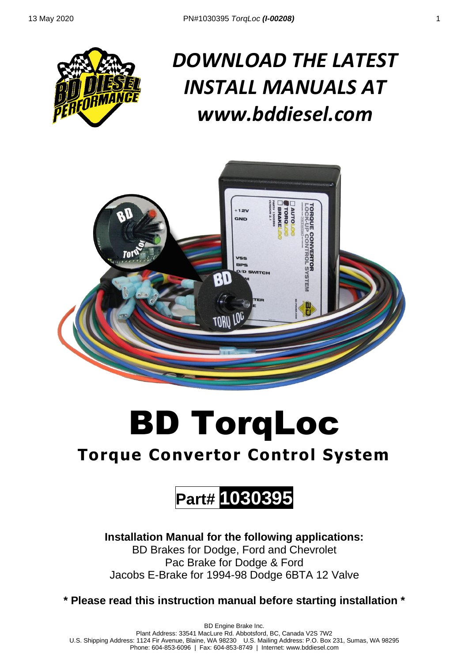

# *DOWNLOAD THE LATEST INSTALL MANUALS AT www.bddiesel.com*



# BD TorqLoc

## **Torque Convertor Control System**

## **Part# 1030395**

**Installation Manual for the following applications:**  BD Brakes for Dodge, Ford and Chevrolet Pac Brake for Dodge & Ford Jacobs E-Brake for 1994-98 Dodge 6BTA 12 Valve

**\* Please read this instruction manual before starting installation \***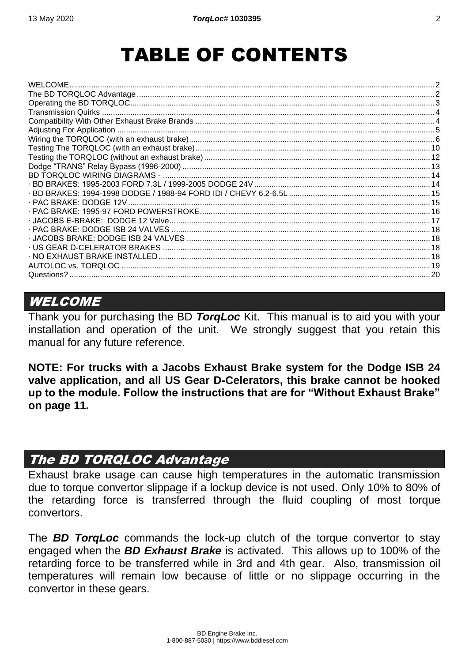## TABLE OF CONTENTS

| 16. يست. يستند بين المستند بين المستند بين المستند بين المستند بين المستند العام 1995-97 PAC BRAKE: 1995-97 FORD POWERSTROKE |  |
|------------------------------------------------------------------------------------------------------------------------------|--|
|                                                                                                                              |  |
|                                                                                                                              |  |
|                                                                                                                              |  |
|                                                                                                                              |  |
|                                                                                                                              |  |
| AUTOLOC vs. TORQLOC.                                                                                                         |  |
|                                                                                                                              |  |

#### <span id="page-1-0"></span>**WELCOME**

Thank you for purchasing the BD *TorqLoc* Kit. This manual is to aid you with your installation and operation of the unit. We strongly suggest that you retain this manual for any future reference.

**NOTE: For trucks with a Jacobs Exhaust Brake system for the Dodge ISB 24 valve application, and all US Gear D-Celerators, this brake cannot be hooked up to the module. Follow the instructions that are for "Without Exhaust Brake" on page [11.](#page-10-0)**

#### <span id="page-1-1"></span>The BD TORQLOC Advantage

Exhaust brake usage can cause high temperatures in the automatic transmission due to torque convertor slippage if a lockup device is not used. Only 10% to 80% of the retarding force is transferred through the fluid coupling of most torque convertors.

The *BD TorqLoc* commands the lock-up clutch of the torque convertor to stay engaged when the *BD Exhaust Brake* is activated. This allows up to 100% of the retarding force to be transferred while in 3rd and 4th gear. Also, transmission oil temperatures will remain low because of little or no slippage occurring in the convertor in these gears.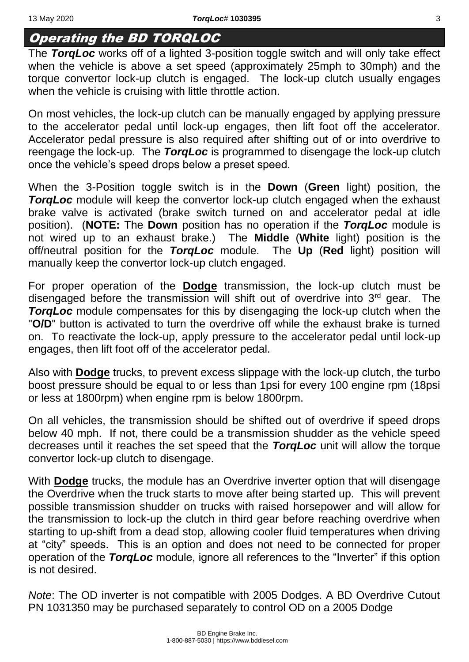### <span id="page-2-0"></span>Operating the BD TORQLOC

The *TorqLoc* works off of a lighted 3-position toggle switch and will only take effect when the vehicle is above a set speed (approximately 25mph to 30mph) and the torque convertor lock-up clutch is engaged. The lock-up clutch usually engages when the vehicle is cruising with little throttle action.

On most vehicles, the lock-up clutch can be manually engaged by applying pressure to the accelerator pedal until lock-up engages, then lift foot off the accelerator. Accelerator pedal pressure is also required after shifting out of or into overdrive to reengage the lock-up. The *TorqLoc* is programmed to disengage the lock-up clutch once the vehicle's speed drops below a preset speed.

When the 3-Position toggle switch is in the **Down** (**Green** light) position, the *TorgLoc* module will keep the convertor lock-up clutch engaged when the exhaust brake valve is activated (brake switch turned on and accelerator pedal at idle position). (**NOTE:** The **Down** position has no operation if the *TorqLoc* module is not wired up to an exhaust brake.) The **Middle** (**White** light) position is the off/neutral position for the *TorqLoc* module. The **Up** (**Red** light) position will manually keep the convertor lock-up clutch engaged.

For proper operation of the **Dodge** transmission, the lock-up clutch must be disengaged before the transmission will shift out of overdrive into  $3<sup>rd</sup>$  gear. The *TorgLoc* module compensates for this by disengaging the lock-up clutch when the "**O/D**" button is activated to turn the overdrive off while the exhaust brake is turned on. To reactivate the lock-up, apply pressure to the accelerator pedal until lock-up engages, then lift foot off of the accelerator pedal.

Also with **Dodge** trucks, to prevent excess slippage with the lock-up clutch, the turbo boost pressure should be equal to or less than 1psi for every 100 engine rpm (18psi or less at 1800rpm) when engine rpm is below 1800rpm.

On all vehicles, the transmission should be shifted out of overdrive if speed drops below 40 mph. If not, there could be a transmission shudder as the vehicle speed decreases until it reaches the set speed that the *TorqLoc* unit will allow the torque convertor lock-up clutch to disengage.

With **Dodge** trucks, the module has an Overdrive inverter option that will disengage the Overdrive when the truck starts to move after being started up. This will prevent possible transmission shudder on trucks with raised horsepower and will allow for the transmission to lock-up the clutch in third gear before reaching overdrive when starting to up-shift from a dead stop, allowing cooler fluid temperatures when driving at "city" speeds. This is an option and does not need to be connected for proper operation of the *TorqLoc* module, ignore all references to the "Inverter" if this option is not desired.

*Note*: The OD inverter is not compatible with 2005 Dodges. A BD Overdrive Cutout PN 1031350 may be purchased separately to control OD on a 2005 Dodge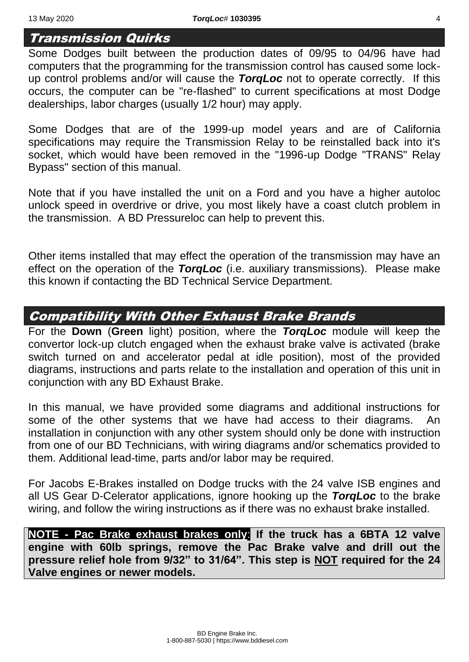#### <span id="page-3-0"></span>Transmission Quirks

Some Dodges built between the production dates of 09/95 to 04/96 have had computers that the programming for the transmission control has caused some lockup control problems and/or will cause the *TorqLoc* not to operate correctly. If this occurs, the computer can be "re-flashed" to current specifications at most Dodge dealerships, labor charges (usually 1/2 hour) may apply.

Some Dodges that are of the 1999-up model years and are of California specifications may require the Transmission Relay to be reinstalled back into it's socket, which would have been removed in the "1996-up Dodge "TRANS" Relay Bypass" section of this manual.

Note that if you have installed the unit on a Ford and you have a higher autoloc unlock speed in overdrive or drive, you most likely have a coast clutch problem in the transmission. A BD Pressureloc can help to prevent this.

Other items installed that may effect the operation of the transmission may have an effect on the operation of the *TorqLoc* (i.e. auxiliary transmissions). Please make this known if contacting the BD Technical Service Department.

#### <span id="page-3-1"></span>Compatibility With Other Exhaust Brake Brands

For the **Down** (**Green** light) position, where the *TorqLoc* module will keep the convertor lock-up clutch engaged when the exhaust brake valve is activated (brake switch turned on and accelerator pedal at idle position), most of the provided diagrams, instructions and parts relate to the installation and operation of this unit in conjunction with any BD Exhaust Brake.

In this manual, we have provided some diagrams and additional instructions for some of the other systems that we have had access to their diagrams. An installation in conjunction with any other system should only be done with instruction from one of our BD Technicians, with wiring diagrams and/or schematics provided to them. Additional lead-time, parts and/or labor may be required.

For Jacobs E-Brakes installed on Dodge trucks with the 24 valve ISB engines and all US Gear D-Celerator applications, ignore hooking up the *TorqLoc* to the brake wiring, and follow the wiring instructions as if there was no exhaust brake installed.

**NOTE - Pac Brake exhaust brakes only**: **If the truck has a 6BTA 12 valve engine with 60lb springs, remove the Pac Brake valve and drill out the pressure relief hole from 9/32" to 31/64". This step is NOT required for the 24 Valve engines or newer models.**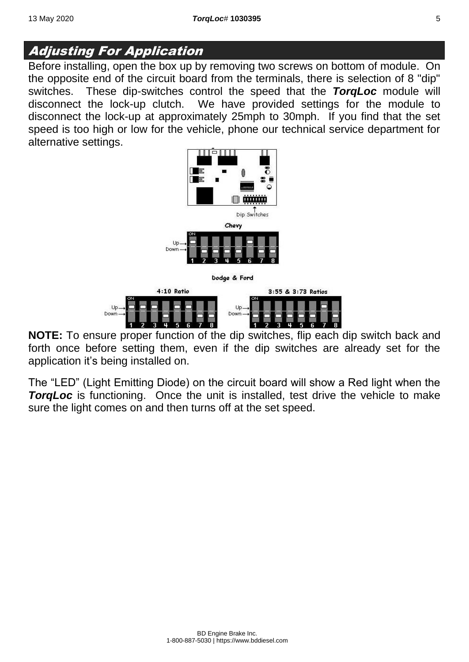#### <span id="page-4-0"></span>Adjusting For Application

Before installing, open the box up by removing two screws on bottom of module. On the opposite end of the circuit board from the terminals, there is selection of 8 "dip" switches. These dip-switches control the speed that the *TorqLoc* module will disconnect the lock-up clutch. We have provided settings for the module to disconnect the lock-up at approximately 25mph to 30mph. If you find that the set speed is too high or low for the vehicle, phone our technical service department for alternative settings.





**NOTE:** To ensure proper function of the dip switches, flip each dip switch back and forth once before setting them, even if the dip switches are already set for the application it's being installed on.

The "LED" (Light Emitting Diode) on the circuit board will show a Red light when the **TorgLoc** is functioning. Once the unit is installed, test drive the vehicle to make sure the light comes on and then turns off at the set speed.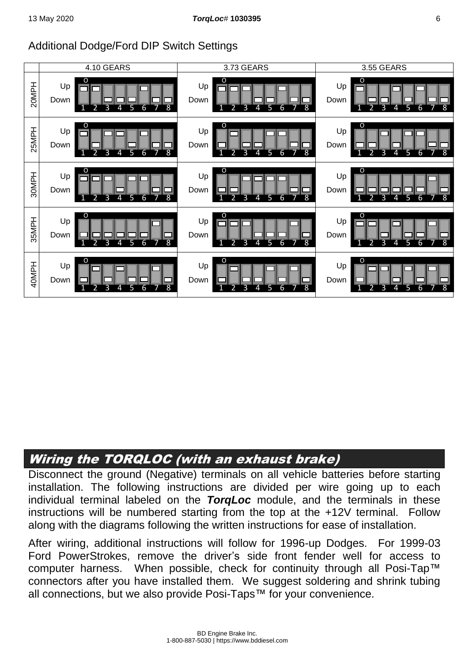#### Additional Dodge/Ford DIP Switch Settings



## <span id="page-5-0"></span>Wiring the TORQLOC (with an exhaust brake)

Disconnect the ground (Negative) terminals on all vehicle batteries before starting installation. The following instructions are divided per wire going up to each individual terminal labeled on the *TorqLoc* module, and the terminals in these instructions will be numbered starting from the top at the +12V terminal. Follow along with the diagrams following the written instructions for ease of installation.

After wiring, additional instructions will follow for 1996-up Dodges. For 1999-03 Ford PowerStrokes, remove the driver's side front fender well for access to computer harness. When possible, check for continuity through all Posi-Tap™ connectors after you have installed them. We suggest soldering and shrink tubing all connections, but we also provide Posi-Taps™ for your convenience.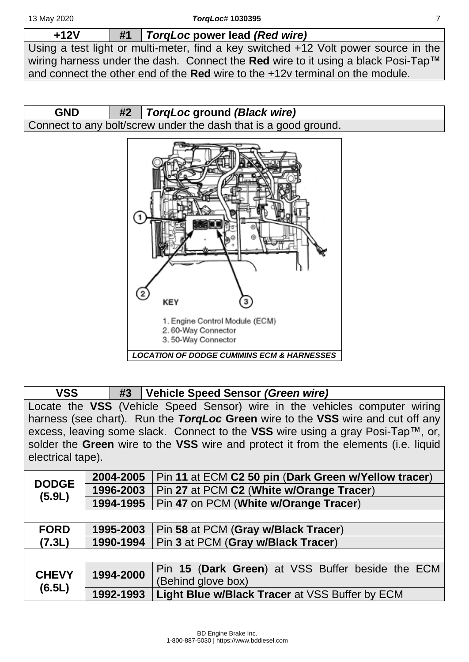**+12V #1** *TorqLoc* **power lead** *(Red wire)*

Using a test light or multi-meter, find a key switched +12 Volt power source in the wiring harness under the dash. Connect the **Red** wire to it using a black Posi-Tap™ and connect the other end of the **Red** wire to the +12v terminal on the module.



#### **VSS #3 Vehicle Speed Sensor** *(Green wire)*

Locate the **VSS** (Vehicle Speed Sensor) wire in the vehicles computer wiring harness (see chart). Run the *TorqLoc* **Green** wire to the **VSS** wire and cut off any excess, leaving some slack. Connect to the **VSS** wire using a gray Posi-Tap™, or, solder the **Green** wire to the **VSS** wire and protect it from the elements (i.e. liquid electrical tape).

| <b>DODGE</b>                        | 2004-2005 | Pin 11 at ECM C2 50 pin (Dark Green w/Yellow tracer) |
|-------------------------------------|-----------|------------------------------------------------------|
|                                     | 1996-2003 | Pin 27 at PCM C2 (White w/Orange Tracer)             |
| (5.9L)                              | 1994-1995 | Pin 47 on PCM (White w/Orange Tracer)                |
|                                     |           |                                                      |
| <b>FORD</b>                         | 1995-2003 | Pin 58 at PCM (Gray w/Black Tracer)                  |
| (7.3L)                              | 1990-1994 | Pin 3 at PCM (Gray w/Black Tracer)                   |
|                                     |           |                                                      |
| 1994-2000<br><b>CHEVY</b><br>(6.5L) |           | Pin 15 (Dark Green) at VSS Buffer beside the ECM     |
|                                     |           | (Behind glove box)                                   |
|                                     | 1992-1993 | Light Blue w/Black Tracer at VSS Buffer by ECM       |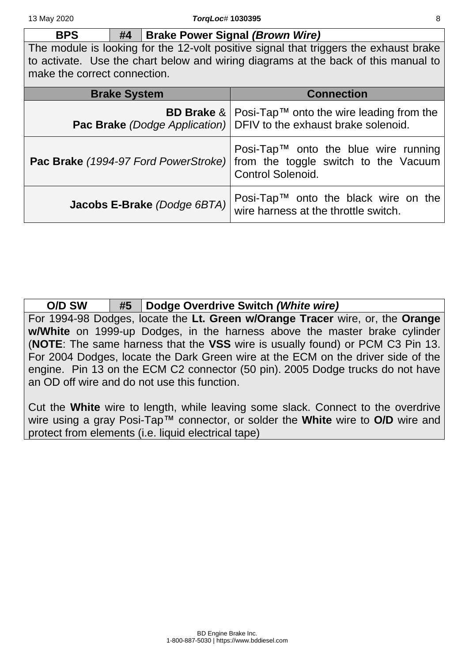**BPS #4 Brake Power Signal** *(Brown Wire)* The module is looking for the 12-volt positive signal that triggers the exhaust brake to activate. Use the chart below and wiring diagrams at the back of this manual to

make the correct connection.

| <b>Brake System</b>         | <b>Connection</b>                                                                                                                                      |
|-----------------------------|--------------------------------------------------------------------------------------------------------------------------------------------------------|
|                             | <b>BD Brake </b> &   Posi-Tap <sup>TM</sup> onto the wire leading from the<br><b>Pac Brake</b> (Dodge Application) DFIV to the exhaust brake solenoid. |
|                             | Posi-Tap <sup>TM</sup> onto the blue wire running<br>Pac Brake (1994-97 Ford PowerStroke) from the toggle switch to the Vacuum<br>Control Solenoid.    |
| Jacobs E-Brake (Dodge 6BTA) | Posi-Tap™ onto the black wire on the wire harness at the throttle switch.                                                                              |

| O/D SW | #5   Dodge Overdrive Switch (White wire)                                         |
|--------|----------------------------------------------------------------------------------|
|        | For 1994-98 Dodges, locate the Lt. Green w/Orange Tracer wire, or, the Orange    |
|        | w/White on 1999-up Dodges, in the harness above the master brake cylinder        |
|        | (NOTE: The same harness that the VSS wire is usually found) or PCM C3 Pin 13.    |
|        | For 2004 Dodges, locate the Dark Green wire at the ECM on the driver side of the |
|        | engine. Pin 13 on the ECM C2 connector (50 pin). 2005 Dodge trucks do not have   |
|        | an OD off wire and do not use this function.                                     |

Cut the **White** wire to length, while leaving some slack. Connect to the overdrive wire using a gray Posi-Tap™ connector, or solder the **White** wire to **O/D** wire and protect from elements (i.e. liquid electrical tape)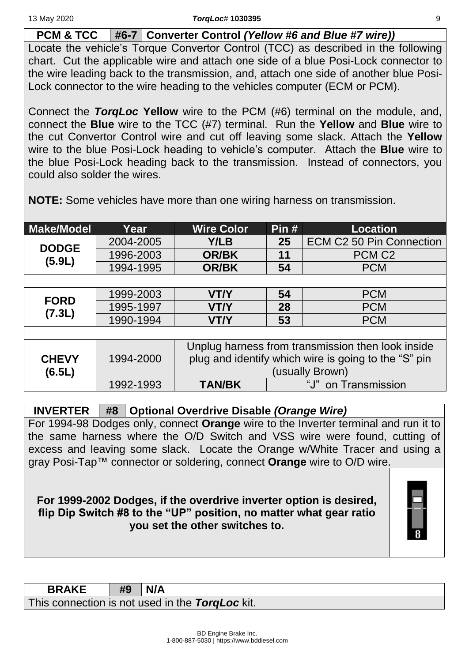**PCM & TCC #6-7 Converter Control** *(Yellow #6 and Blue #7 wire))*

Locate the vehicle's Torque Convertor Control (TCC) as described in the following chart. Cut the applicable wire and attach one side of a blue Posi-Lock connector to the wire leading back to the transmission, and, attach one side of another blue Posi-Lock connector to the wire heading to the vehicles computer (ECM or PCM).

Connect the *TorqLoc* **Yellow** wire to the PCM (#6) terminal on the module, and, connect the **Blue** wire to the TCC (#7) terminal. Run the **Yellow** and **Blue** wire to the cut Convertor Control wire and cut off leaving some slack. Attach the **Yellow** wire to the blue Posi-Lock heading to vehicle's computer. Attach the **Blue** wire to the blue Posi-Lock heading back to the transmission. Instead of connectors, you could also solder the wires.

| <b>Make/Model</b>      | Year      | <b>Wire Color</b> | Pin# | <b>Location</b>                                      |
|------------------------|-----------|-------------------|------|------------------------------------------------------|
| <b>DODGE</b><br>(5.9L) | 2004-2005 | Y/LB              | 25   | <b>ECM C2 50 Pin Connection</b>                      |
|                        | 1996-2003 | <b>OR/BK</b>      | 11   | PCM <sub>C2</sub>                                    |
|                        | 1994-1995 | <b>OR/BK</b>      | 54   | <b>PCM</b>                                           |
|                        |           |                   |      |                                                      |
| <b>FORD</b><br>(7.3L)  | 1999-2003 | <b>VT/Y</b>       | 54   | <b>PCM</b>                                           |
|                        | 1995-1997 | <b>VT/Y</b>       | 28   | <b>PCM</b>                                           |
|                        | 1990-1994 | <b>VT/Y</b>       | 53   | <b>PCM</b>                                           |
|                        |           |                   |      |                                                      |
|                        |           |                   |      | Unplug harness from transmission then look inside    |
| <b>CHEVY</b>           | 1994-2000 |                   |      | plug and identify which wire is going to the "S" pin |
| (6.5L)                 |           |                   |      | (usually Brown)                                      |
|                        | 1992-1993 | <b>TAN/BK</b>     |      | "J" on Transmission                                  |

**NOTE:** Some vehicles have more than one wiring harness on transmission.

**INVERTER #8 Optional Overdrive Disable** *(Orange Wire)* For 1994-98 Dodges only, connect **Orange** wire to the Inverter terminal and run it to the same harness where the O/D Switch and VSS wire were found, cutting of excess and leaving some slack. Locate the Orange w/White Tracer and using a gray Posi-Tap™ connector or soldering, connect **Orange** wire to O/D wire.

**For 1999-2002 Dodges, if the overdrive inverter option is desired, flip Dip Switch #8 to the "UP" position, no matter what gear ratio you set the other switches to.**



| <b>BRAKE</b>                                    | #9 | N/A |
|-------------------------------------------------|----|-----|
| This connection is not used in the TorgLoc kit. |    |     |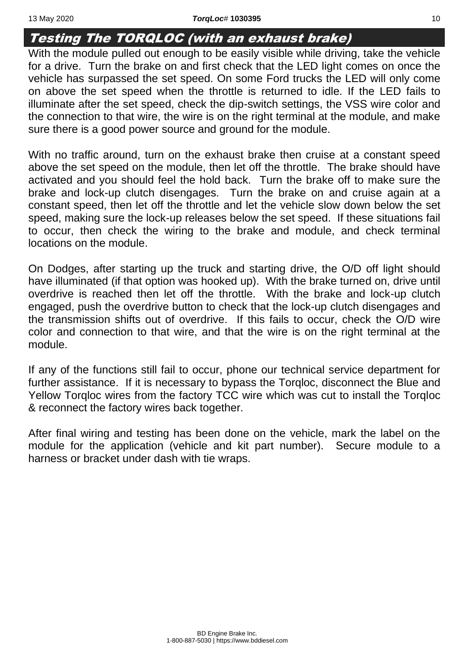#### <span id="page-9-0"></span>Testing The TORQLOC (with an exhaust brake)

With the module pulled out enough to be easily visible while driving, take the vehicle for a drive. Turn the brake on and first check that the LED light comes on once the vehicle has surpassed the set speed. On some Ford trucks the LED will only come on above the set speed when the throttle is returned to idle. If the LED fails to illuminate after the set speed, check the dip-switch settings, the VSS wire color and the connection to that wire, the wire is on the right terminal at the module, and make sure there is a good power source and ground for the module.

With no traffic around, turn on the exhaust brake then cruise at a constant speed above the set speed on the module, then let off the throttle. The brake should have activated and you should feel the hold back. Turn the brake off to make sure the brake and lock-up clutch disengages. Turn the brake on and cruise again at a constant speed, then let off the throttle and let the vehicle slow down below the set speed, making sure the lock-up releases below the set speed. If these situations fail to occur, then check the wiring to the brake and module, and check terminal locations on the module.

On Dodges, after starting up the truck and starting drive, the O/D off light should have illuminated (if that option was hooked up). With the brake turned on, drive until overdrive is reached then let off the throttle. With the brake and lock-up clutch engaged, push the overdrive button to check that the lock-up clutch disengages and the transmission shifts out of overdrive. If this fails to occur, check the O/D wire color and connection to that wire, and that the wire is on the right terminal at the module.

If any of the functions still fail to occur, phone our technical service department for further assistance. If it is necessary to bypass the Torqloc, disconnect the Blue and Yellow Torqloc wires from the factory TCC wire which was cut to install the Torqloc & reconnect the factory wires back together.

After final wiring and testing has been done on the vehicle, mark the label on the module for the application (vehicle and kit part number). Secure module to a harness or bracket under dash with tie wraps.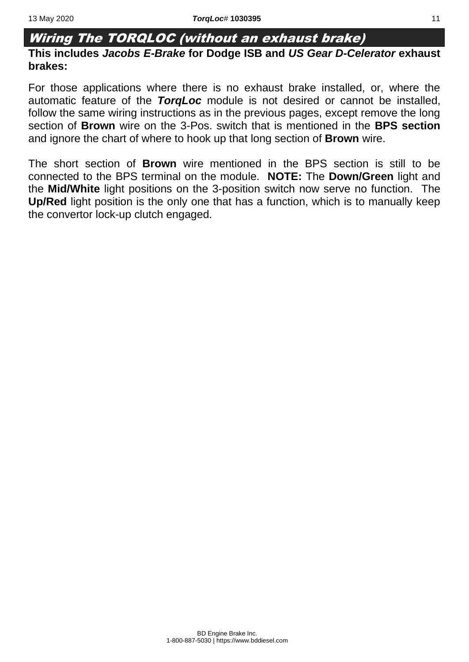#### <span id="page-10-0"></span>Wiring The TORQLOC (without an exhaust brake)

#### **This includes** *Jacobs E-Brake* **for Dodge ISB and** *US Gear D-Celerator* **exhaust brakes:**

For those applications where there is no exhaust brake installed, or, where the automatic feature of the *TorqLoc* module is not desired or cannot be installed, follow the same wiring instructions as in the previous pages, except remove the long section of **Brown** wire on the 3-Pos. switch that is mentioned in the **BPS section** and ignore the chart of where to hook up that long section of **Brown** wire.

The short section of **Brown** wire mentioned in the BPS section is still to be connected to the BPS terminal on the module. **NOTE:** The **Down/Green** light and the **Mid/White** light positions on the 3-position switch now serve no function. The **Up/Red** light position is the only one that has a function, which is to manually keep the convertor lock-up clutch engaged.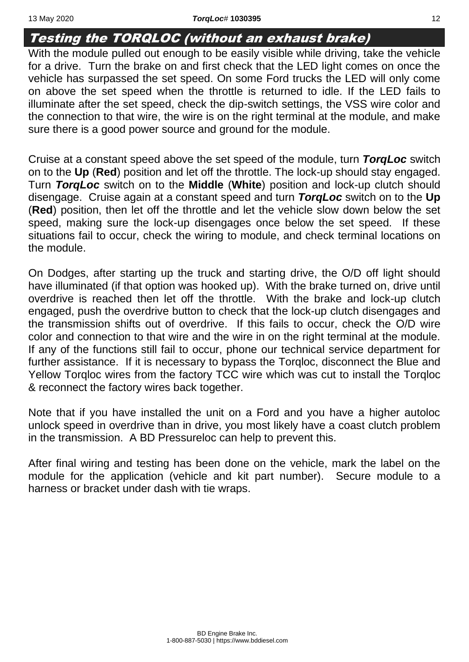#### <span id="page-11-0"></span>Testing the TORQLOC (without an exhaust brake)

With the module pulled out enough to be easily visible while driving, take the vehicle for a drive. Turn the brake on and first check that the LED light comes on once the vehicle has surpassed the set speed. On some Ford trucks the LED will only come on above the set speed when the throttle is returned to idle. If the LED fails to illuminate after the set speed, check the dip-switch settings, the VSS wire color and the connection to that wire, the wire is on the right terminal at the module, and make sure there is a good power source and ground for the module.

Cruise at a constant speed above the set speed of the module, turn *TorqLoc* switch on to the **Up** (**Red**) position and let off the throttle. The lock-up should stay engaged. Turn *TorqLoc* switch on to the **Middle** (**White**) position and lock-up clutch should disengage. Cruise again at a constant speed and turn *TorqLoc* switch on to the **Up** (**Red**) position, then let off the throttle and let the vehicle slow down below the set speed, making sure the lock-up disengages once below the set speed. If these situations fail to occur, check the wiring to module, and check terminal locations on the module.

On Dodges, after starting up the truck and starting drive, the O/D off light should have illuminated (if that option was hooked up). With the brake turned on, drive until overdrive is reached then let off the throttle. With the brake and lock-up clutch engaged, push the overdrive button to check that the lock-up clutch disengages and the transmission shifts out of overdrive. If this fails to occur, check the O/D wire color and connection to that wire and the wire in on the right terminal at the module. If any of the functions still fail to occur, phone our technical service department for further assistance. If it is necessary to bypass the Torqloc, disconnect the Blue and Yellow Torqloc wires from the factory TCC wire which was cut to install the Torqloc & reconnect the factory wires back together.

Note that if you have installed the unit on a Ford and you have a higher autoloc unlock speed in overdrive than in drive, you most likely have a coast clutch problem in the transmission. A BD Pressureloc can help to prevent this.

After final wiring and testing has been done on the vehicle, mark the label on the module for the application (vehicle and kit part number). Secure module to a harness or bracket under dash with tie wraps.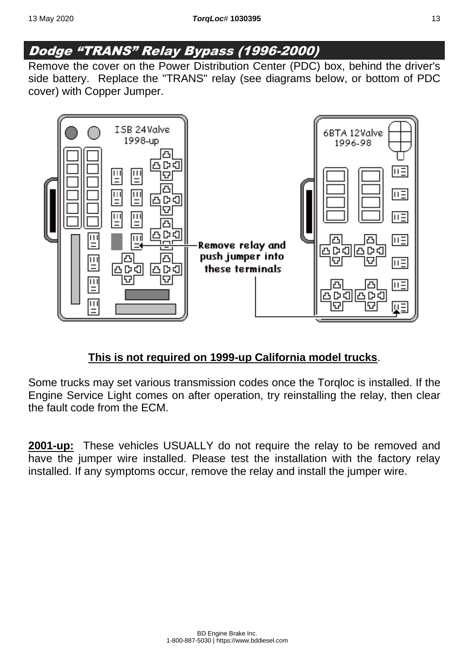#### <span id="page-12-0"></span>Dodge "TRANS" Relay Bypass (1996-2000)

Remove the cover on the Power Distribution Center (PDC) box, behind the driver's side battery. Replace the "TRANS" relay (see diagrams below, or bottom of PDC cover) with Copper Jumper.



#### **This is not required on 1999-up California model trucks**.

Some trucks may set various transmission codes once the Torqloc is installed. If the Engine Service Light comes on after operation, try reinstalling the relay, then clear the fault code from the ECM.

**2001-up:** These vehicles USUALLY do not require the relay to be removed and have the jumper wire installed. Please test the installation with the factory relay installed. If any symptoms occur, remove the relay and install the jumper wire.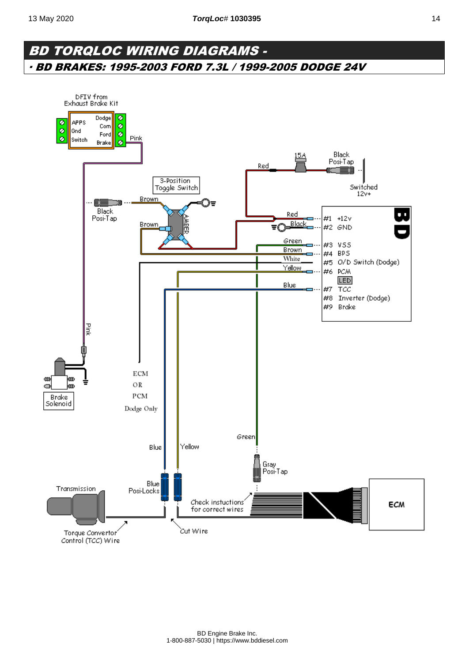#### <span id="page-13-0"></span>BD TORQLOC WIRING DIAGRAMS - ∙ BD BRAKES: 1995-2003 FORD 7.3L / 1999-2005 DODGE 24V

<span id="page-13-1"></span>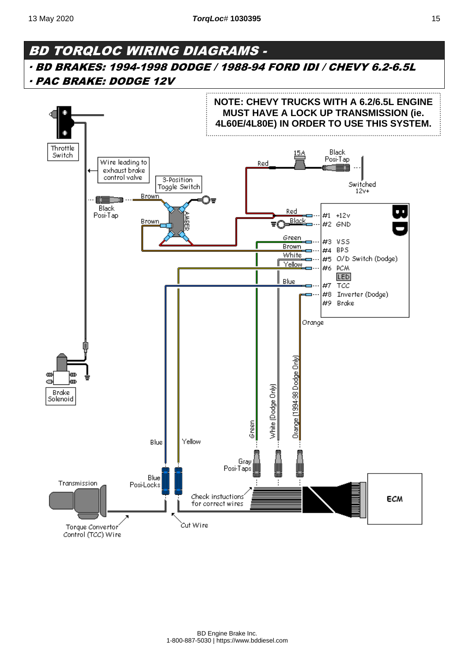#### <span id="page-14-0"></span>BD TORQLOC WIRING DIAGRAMS - ∙ BD BRAKES: 1994-1998 DODGE / 1988-94 FORD IDI / CHEVY 6.2-6.5L ∙ PAC BRAKE: DODGE 12V

<span id="page-14-1"></span>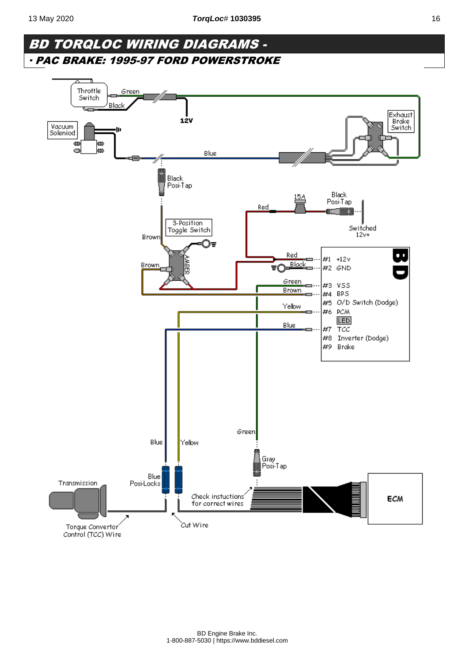#### BD TORQLOC WIRING DIAGRAMS - ∙ PAC BRAKE: 1995-97 FORD POWERSTROKE

<span id="page-15-0"></span>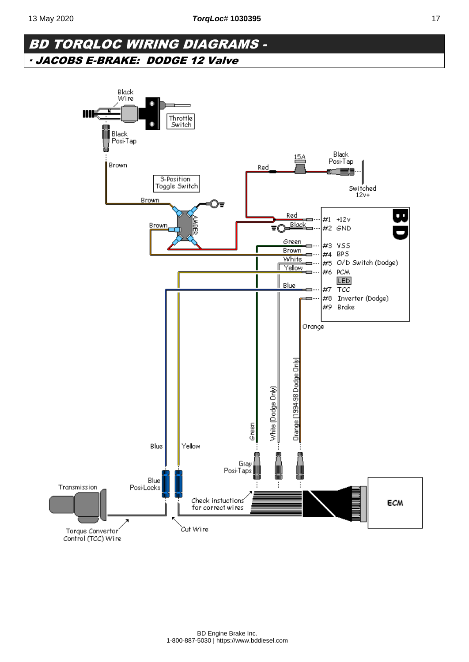#### <span id="page-16-0"></span>BD TORQLOC WIRING DIAGRAMS - ∙ JACOBS E-BRAKE: DODGE 12 Valve

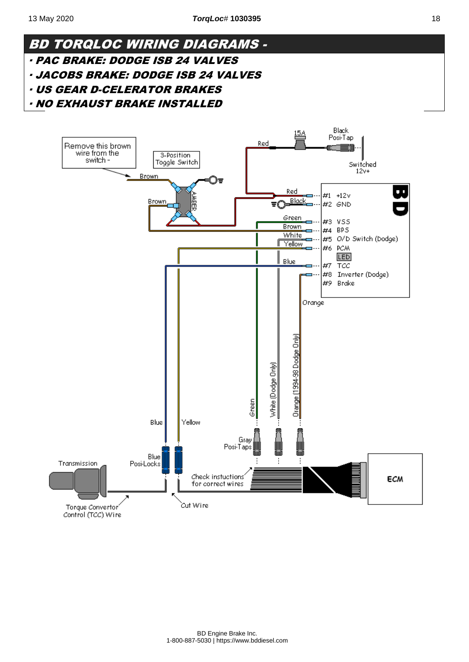#### 18

Black

<span id="page-17-2"></span><span id="page-17-1"></span><span id="page-17-0"></span>

<span id="page-17-3"></span>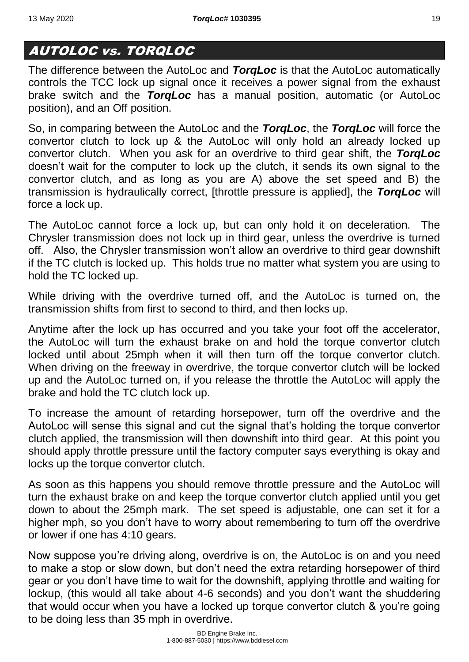#### <span id="page-18-0"></span>AUTOLOC vs. TORQLOC

The difference between the AutoLoc and *TorqLoc* is that the AutoLoc automatically controls the TCC lock up signal once it receives a power signal from the exhaust brake switch and the *TorqLoc* has a manual position, automatic (or AutoLoc position), and an Off position.

So, in comparing between the AutoLoc and the *TorqLoc*, the *TorqLoc* will force the convertor clutch to lock up & the AutoLoc will only hold an already locked up convertor clutch. When you ask for an overdrive to third gear shift, the *TorqLoc* doesn't wait for the computer to lock up the clutch, it sends its own signal to the convertor clutch, and as long as you are A) above the set speed and B) the transmission is hydraulically correct, [throttle pressure is applied], the *TorqLoc* will force a lock up.

The AutoLoc cannot force a lock up, but can only hold it on deceleration. The Chrysler transmission does not lock up in third gear, unless the overdrive is turned off. Also, the Chrysler transmission won't allow an overdrive to third gear downshift if the TC clutch is locked up. This holds true no matter what system you are using to hold the TC locked up.

While driving with the overdrive turned off, and the AutoLoc is turned on, the transmission shifts from first to second to third, and then locks up.

Anytime after the lock up has occurred and you take your foot off the accelerator, the AutoLoc will turn the exhaust brake on and hold the torque convertor clutch locked until about 25mph when it will then turn off the torque convertor clutch. When driving on the freeway in overdrive, the torque convertor clutch will be locked up and the AutoLoc turned on, if you release the throttle the AutoLoc will apply the brake and hold the TC clutch lock up.

To increase the amount of retarding horsepower, turn off the overdrive and the AutoLoc will sense this signal and cut the signal that's holding the torque convertor clutch applied, the transmission will then downshift into third gear. At this point you should apply throttle pressure until the factory computer says everything is okay and locks up the torque convertor clutch.

As soon as this happens you should remove throttle pressure and the AutoLoc will turn the exhaust brake on and keep the torque convertor clutch applied until you get down to about the 25mph mark. The set speed is adjustable, one can set it for a higher mph, so you don't have to worry about remembering to turn off the overdrive or lower if one has 4:10 gears.

Now suppose you're driving along, overdrive is on, the AutoLoc is on and you need to make a stop or slow down, but don't need the extra retarding horsepower of third gear or you don't have time to wait for the downshift, applying throttle and waiting for lockup, (this would all take about 4-6 seconds) and you don't want the shuddering that would occur when you have a locked up torque convertor clutch & you're going to be doing less than 35 mph in overdrive.